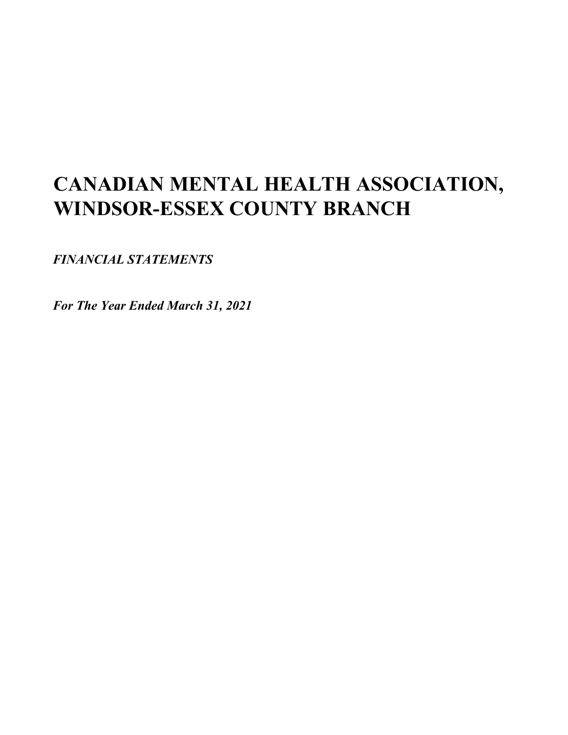*FINANCIAL STATEMENTS*

*For The Year Ended March 31, 2021*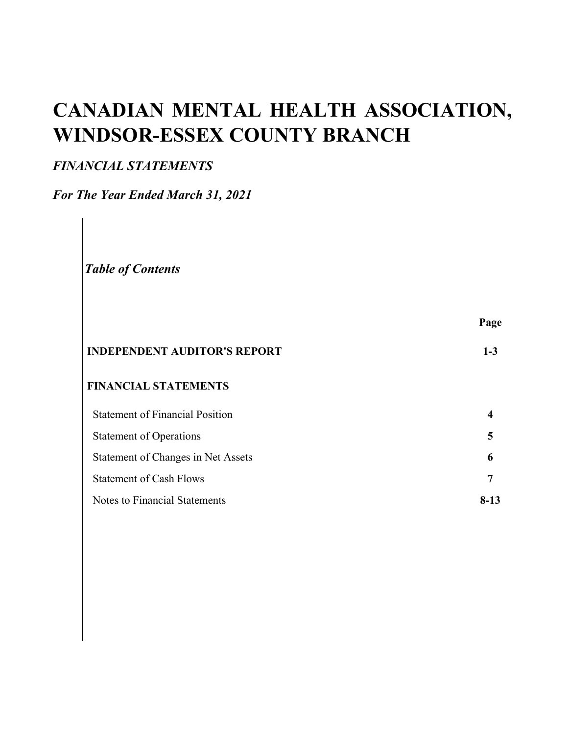## *FINANCIAL STATEMENTS*

*For The Year Ended March 31, 2021*

*Table of Contents*

|                                        | Page             |
|----------------------------------------|------------------|
| <b>INDEPENDENT AUDITOR'S REPORT</b>    | $1 - 3$          |
| <b>FINANCIAL STATEMENTS</b>            |                  |
| <b>Statement of Financial Position</b> | $\boldsymbol{4}$ |
| <b>Statement of Operations</b>         | 5                |
| Statement of Changes in Net Assets     | 6                |
| <b>Statement of Cash Flows</b>         | 7                |
| Notes to Financial Statements          | $8-13$           |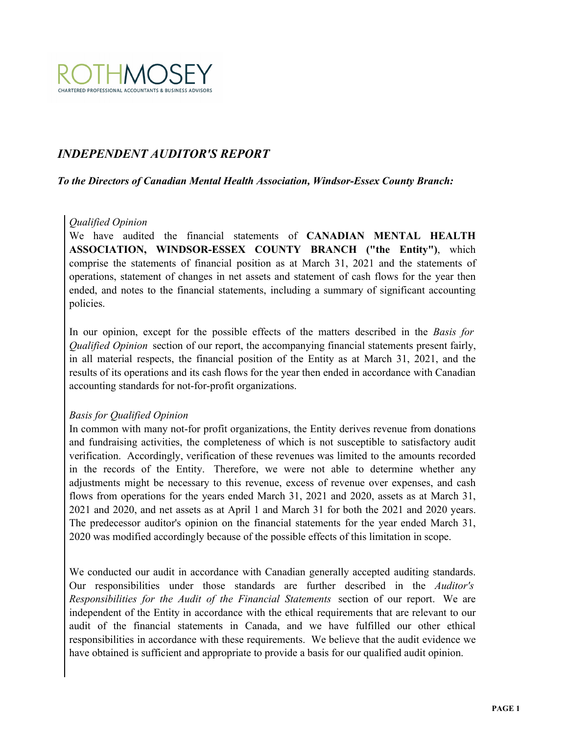

### *INDEPENDENT AUDITOR'S REPORT*

### *To the Directors of Canadian Mental Health Association, Windsor-Essex County Branch:*

### *Qualified Opinion*

We have audited the financial statements of **CANADIAN MENTAL HEALTH ASSOCIATION, WINDSOR-ESSEX COUNTY BRANCH ("the Entity")**, which comprise the statements of financial position as at March 31, 2021 and the statements of operations, statement of changes in net assets and statement of cash flows for the year then ended, and notes to the financial statements, including a summary of significant accounting policies.

In our opinion, except for the possible effects of the matters described in the *Basis for Qualified Opinion* section of our report, the accompanying financial statements present fairly, in all material respects, the financial position of the Entity as at March 31, 2021, and the results of its operations and its cash flows for the year then ended in accordance with Canadian accounting standards for not-for-profit organizations.

#### *Basis for Qualified Opinion*

In common with many not-for profit organizations, the Entity derives revenue from donations and fundraising activities, the completeness of which is not susceptible to satisfactory audit verification. Accordingly, verification of these revenues was limited to the amounts recorded in the records of the Entity. Therefore, we were not able to determine whether any adjustments might be necessary to this revenue, excess of revenue over expenses, and cash flows from operations for the years ended March 31, 2021 and 2020, assets as at March 31, 2021 and 2020, and net assets as at April 1 and March 31 for both the 2021 and 2020 years. The predecessor auditor's opinion on the financial statements for the year ended March 31, 2020 was modified accordingly because of the possible effects of this limitation in scope.

We conducted our audit in accordance with Canadian generally accepted auditing standards. Our responsibilities under those standards are further described in the *Auditor's Responsibilities for the Audit of the Financial Statements* section of our report. We are independent of the Entity in accordance with the ethical requirements that are relevant to our audit of the financial statements in Canada, and we have fulfilled our other ethical responsibilities in accordance with these requirements. We believe that the audit evidence we have obtained is sufficient and appropriate to provide a basis for our qualified audit opinion.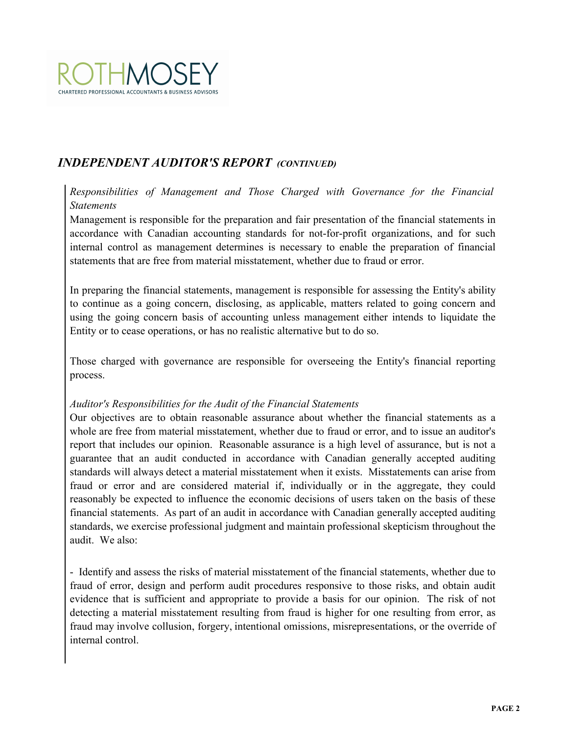## *INDEPENDENT AUDITOR'S REPORT (CONTINUED)*

### *Responsibilities of Management and Those Charged with Governance for the Financial Statements*

Management is responsible for the preparation and fair presentation of the financial statements in accordance with Canadian accounting standards for not-for-profit organizations, and for such internal control as management determines is necessary to enable the preparation of financial statements that are free from material misstatement, whether due to fraud or error.

In preparing the financial statements, management is responsible for assessing the Entity's ability to continue as a going concern, disclosing, as applicable, matters related to going concern and using the going concern basis of accounting unless management either intends to liquidate the Entity or to cease operations, or has no realistic alternative but to do so.

Those charged with governance are responsible for overseeing the Entity's financial reporting process.

### *Auditor's Responsibilities for the Audit of the Financial Statements*

Our objectives are to obtain reasonable assurance about whether the financial statements as a whole are free from material misstatement, whether due to fraud or error, and to issue an auditor's report that includes our opinion. Reasonable assurance is a high level of assurance, but is not a guarantee that an audit conducted in accordance with Canadian generally accepted auditing standards will always detect a material misstatement when it exists. Misstatements can arise from fraud or error and are considered material if, individually or in the aggregate, they could reasonably be expected to influence the economic decisions of users taken on the basis of these financial statements. As part of an audit in accordance with Canadian generally accepted auditing standards, we exercise professional judgment and maintain professional skepticism throughout the audit. We also:

- Identify and assess the risks of material misstatement of the financial statements, whether due to fraud of error, design and perform audit procedures responsive to those risks, and obtain audit evidence that is sufficient and appropriate to provide a basis for our opinion. The risk of not detecting a material misstatement resulting from fraud is higher for one resulting from error, as fraud may involve collusion, forgery, intentional omissions, misrepresentations, or the override of internal control.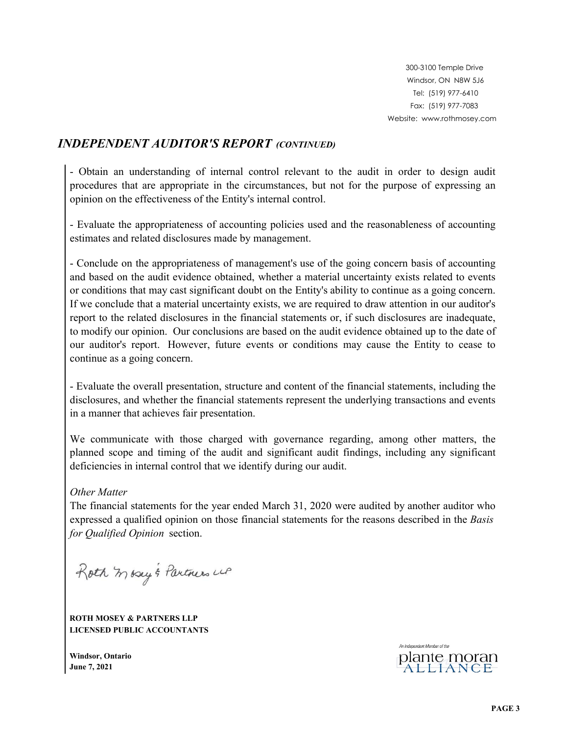300-3100 Temple Drive Windsor, ON N8W 5J6 Tel: (519) 977-6410 Fax: (519) 977-7083 Website: www.rothmosey.com

### *INDEPENDENT AUDITOR'S REPORT (CONTINUED)*

- Obtain an understanding of internal control relevant to the audit in order to design audit procedures that are appropriate in the circumstances, but not for the purpose of expressing an opinion on the effectiveness of the Entity's internal control.

- Evaluate the appropriateness of accounting policies used and the reasonableness of accounting estimates and related disclosures made by management.

- Conclude on the appropriateness of management's use of the going concern basis of accounting and based on the audit evidence obtained, whether a material uncertainty exists related to events or conditions that may cast significant doubt on the Entity's ability to continue as a going concern. If we conclude that a material uncertainty exists, we are required to draw attention in our auditor's report to the related disclosures in the financial statements or, if such disclosures are inadequate, to modify our opinion. Our conclusions are based on the audit evidence obtained up to the date of our auditor's report. However, future events or conditions may cause the Entity to cease to continue as a going concern.

- Evaluate the overall presentation, structure and content of the financial statements, including the disclosures, and whether the financial statements represent the underlying transactions and events in a manner that achieves fair presentation.

We communicate with those charged with governance regarding, among other matters, the planned scope and timing of the audit and significant audit findings, including any significant deficiencies in internal control that we identify during our audit.

### *Other Matter*

The financial statements for the year ended March 31, 2020 were audited by another auditor who expressed a qualified opinion on those financial statements for the reasons described in the *Basis for Qualified Opinion* section.

Roth many's Partners us

**ROTH MOSEY & PARTNERS LLP LICENSED PUBLIC ACCOUNTANTS**

**Windsor, Ontario June 7, 2021**

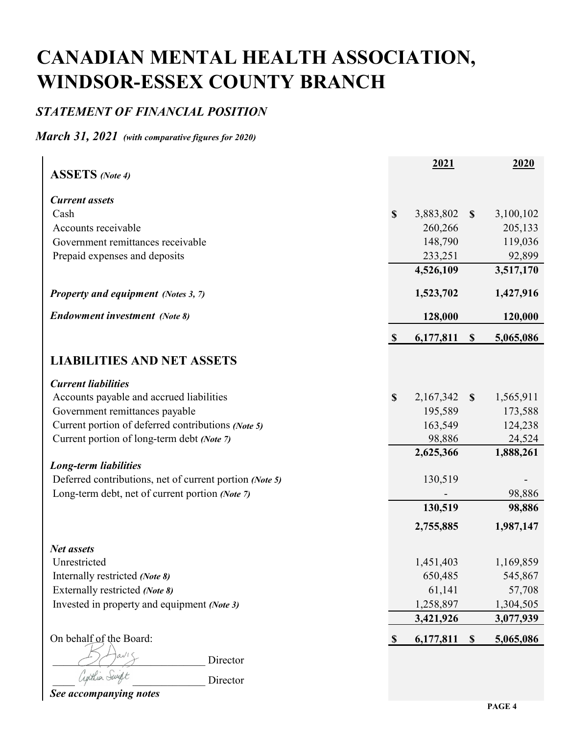## *STATEMENT OF FINANCIAL POSITION*

### *March 31, 2021 (with comparative figures for 2020)*

| <b>ASSETS</b> (Note 4)                                  |               | 2021      |             | 2020      |
|---------------------------------------------------------|---------------|-----------|-------------|-----------|
|                                                         |               |           |             |           |
| <b>Current assets</b>                                   |               |           |             |           |
| Cash                                                    | $\mathbf S$   | 3,883,802 | $\mathbf S$ | 3,100,102 |
| Accounts receivable                                     |               | 260,266   |             | 205,133   |
| Government remittances receivable                       |               | 148,790   |             | 119,036   |
| Prepaid expenses and deposits                           |               | 233,251   |             | 92,899    |
|                                                         |               | 4,526,109 |             | 3,517,170 |
| <b>Property and equipment (Notes 3, 7)</b>              |               | 1,523,702 |             | 1,427,916 |
| <b>Endowment investment</b> (Note 8)                    |               | 128,000   |             | 120,000   |
|                                                         | $\mathbf{\$}$ | 6,177,811 | $\mathbf S$ | 5,065,086 |
| <b>LIABILITIES AND NET ASSETS</b>                       |               |           |             |           |
| <b>Current liabilities</b>                              |               |           |             |           |
| Accounts payable and accrued liabilities                | \$            | 2,167,342 | $\mathbf S$ | 1,565,911 |
| Government remittances payable                          |               | 195,589   |             | 173,588   |
| Current portion of deferred contributions (Note 5)      |               | 163,549   |             | 124,238   |
| Current portion of long-term debt (Note 7)              |               | 98,886    |             | 24,524    |
|                                                         |               | 2,625,366 |             | 1,888,261 |
| Long-term liabilities                                   |               |           |             |           |
| Deferred contributions, net of current portion (Note 5) |               | 130,519   |             |           |
| Long-term debt, net of current portion (Note 7)         |               |           |             | 98,886    |
|                                                         |               | 130,519   |             | 98,886    |
|                                                         |               | 2,755,885 |             | 1,987,147 |
| <b>Net assets</b>                                       |               |           |             |           |
| Unrestricted                                            |               | 1,451,403 |             | 1,169,859 |
| Internally restricted (Note 8)                          |               | 650,485   |             | 545,867   |
| Externally restricted (Note 8)                          |               | 61,141    |             | 57,708    |
| Invested in property and equipment (Note 3)             |               | 1,258,897 |             | 1,304,505 |
|                                                         |               | 3,421,926 |             | 3,077,939 |
| On behalf of the Board:                                 |               | 6,177,811 | $\mathbf S$ | 5,065,086 |
| Director                                                |               |           |             |           |
| Cynthia Swift<br>Director                               |               |           |             |           |

*See accompanying notes*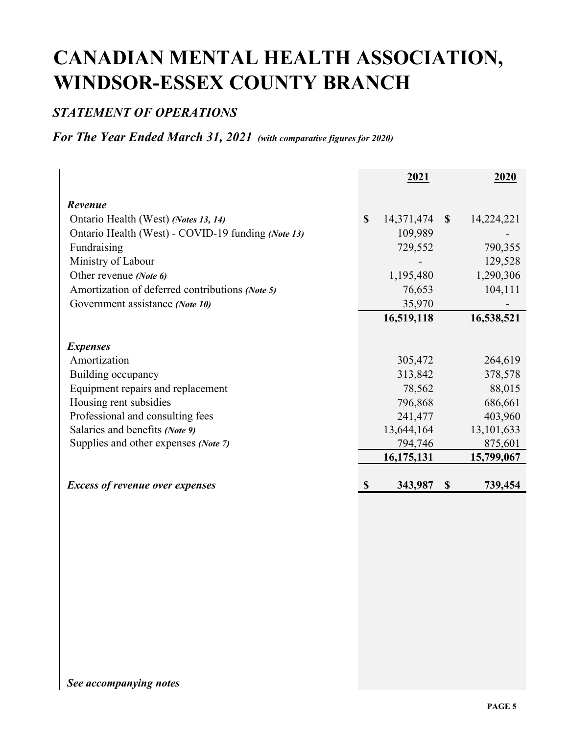## *STATEMENT OF OPERATIONS*

### *For The Year Ended March 31, 2021 (with comparative figures for 2020)*

|                                                    |               | 2021          |                           | 2020         |
|----------------------------------------------------|---------------|---------------|---------------------------|--------------|
| Revenue                                            |               |               |                           |              |
| Ontario Health (West) (Notes 13, 14)               | \$            | 14,371,474 \$ |                           | 14,224,221   |
| Ontario Health (West) - COVID-19 funding (Note 13) |               | 109,989       |                           |              |
| Fundraising                                        |               | 729,552       |                           | 790,355      |
| Ministry of Labour                                 |               |               |                           | 129,528      |
| Other revenue (Note 6)                             |               | 1,195,480     |                           | 1,290,306    |
| Amortization of deferred contributions (Note 5)    |               | 76,653        |                           | 104,111      |
| Government assistance (Note 10)                    |               | 35,970        |                           |              |
|                                                    |               | 16,519,118    |                           | 16,538,521   |
| <b>Expenses</b>                                    |               |               |                           |              |
| Amortization                                       |               | 305,472       |                           | 264,619      |
| Building occupancy                                 |               | 313,842       |                           | 378,578      |
| Equipment repairs and replacement                  |               | 78,562        |                           | 88,015       |
| Housing rent subsidies                             |               | 796,868       |                           | 686,661      |
| Professional and consulting fees                   |               | 241,477       |                           | 403,960      |
| Salaries and benefits (Note 9)                     |               | 13,644,164    |                           | 13, 101, 633 |
| Supplies and other expenses (Note 7)               |               | 794,746       |                           | 875,601      |
|                                                    |               | 16,175,131    |                           | 15,799,067   |
| <b>Excess of revenue over expenses</b>             | <sup>\$</sup> | 343,987       | $\boldsymbol{\mathsf{S}}$ | 739,454      |
|                                                    |               |               |                           |              |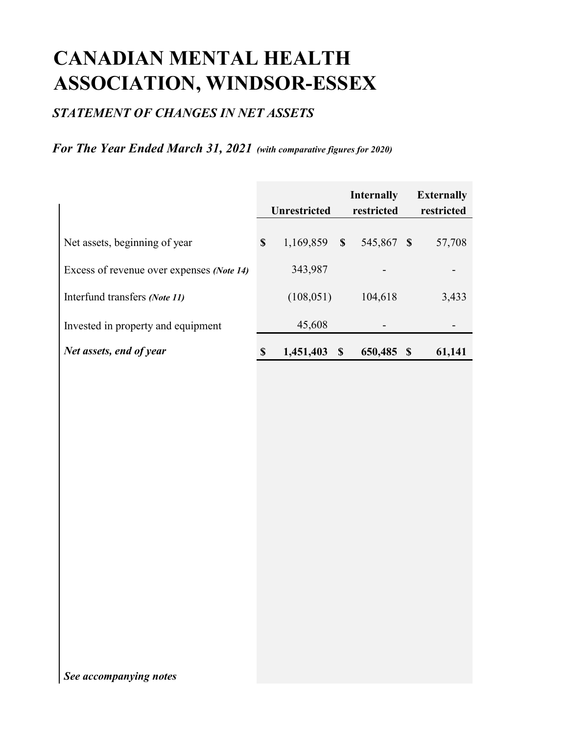# **CANADIAN MENTAL HEALTH ASSOCIATION, WINDSOR-ESSEX**

*STATEMENT OF CHANGES IN NET ASSETS*

## *For The Year Ended March 31, 2021 (with comparative figures for 2020)*

|                                                  |    | <b>Unrestricted</b> | <b>Internally</b><br>restricted | <b>Externally</b><br>restricted |
|--------------------------------------------------|----|---------------------|---------------------------------|---------------------------------|
| Net assets, beginning of year                    | S  | 1,169,859           | \$<br>545,867 \$                | 57,708                          |
| Excess of revenue over expenses <i>(Note 14)</i> |    | 343,987             |                                 |                                 |
| Interfund transfers (Note 11)                    |    | (108, 051)          | 104,618                         | 3,433                           |
| Invested in property and equipment               |    | 45,608              |                                 |                                 |
| Net assets, end of year                          | \$ | 1,451,403           | 650,485 \$                      | 61,141                          |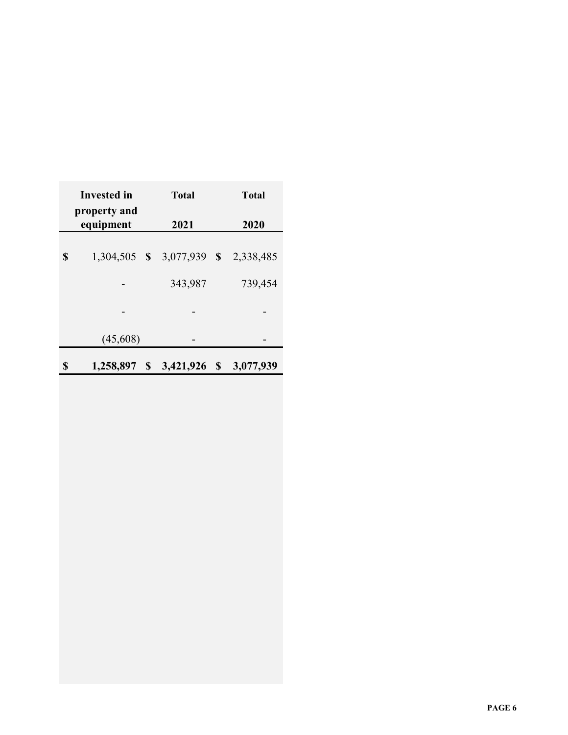|    | Invested in               | <b>Total</b>   |  | <b>Total</b> |
|----|---------------------------|----------------|--|--------------|
|    | property and<br>equipment | 2021           |  | 2020         |
| S  | $1,304,505$ \$            | $3,077,939$ \$ |  | 2,338,485    |
|    |                           | 343,987        |  | 739,454      |
|    |                           |                |  |              |
|    | (45,608)                  |                |  |              |
| \$ | 1,258,897 \$              | 3,421,926 \$   |  | 3,077,939    |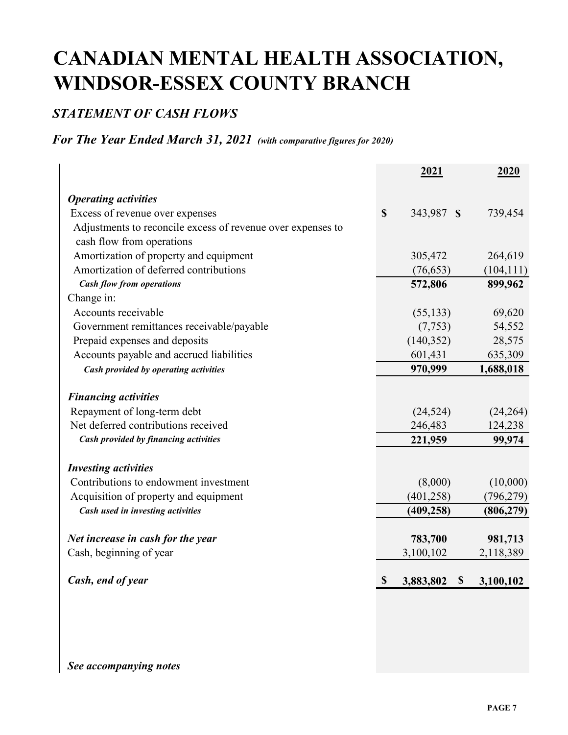## *STATEMENT OF CASH FLOWS*

## *For The Year Ended March 31, 2021 (with comparative figures for 2020)*

|                                                                                          | 2021                                         | 2020       |
|------------------------------------------------------------------------------------------|----------------------------------------------|------------|
| <b>Operating activities</b>                                                              |                                              |            |
| Excess of revenue over expenses                                                          | \$<br>343,987 \$                             | 739,454    |
| Adjustments to reconcile excess of revenue over expenses to<br>cash flow from operations |                                              |            |
| Amortization of property and equipment                                                   | 305,472                                      | 264,619    |
| Amortization of deferred contributions                                                   | (76, 653)                                    | (104, 111) |
| <b>Cash flow from operations</b>                                                         | 572,806                                      | 899,962    |
| Change in:                                                                               |                                              |            |
| Accounts receivable                                                                      | (55, 133)                                    | 69,620     |
| Government remittances receivable/payable                                                | (7,753)                                      | 54,552     |
| Prepaid expenses and deposits                                                            | (140, 352)                                   | 28,575     |
| Accounts payable and accrued liabilities                                                 | 601,431                                      | 635,309    |
| Cash provided by operating activities                                                    | 970,999                                      | 1,688,018  |
| <b>Financing activities</b>                                                              |                                              |            |
| Repayment of long-term debt                                                              | (24, 524)                                    | (24, 264)  |
| Net deferred contributions received                                                      | 246,483                                      | 124,238    |
| Cash provided by financing activities                                                    | 221,959                                      | 99,974     |
| <b>Investing activities</b>                                                              |                                              |            |
| Contributions to endowment investment                                                    | (8,000)                                      | (10,000)   |
| Acquisition of property and equipment                                                    | (401, 258)                                   | (796, 279) |
| Cash used in investing activities                                                        | (409, 258)                                   | (806, 279) |
| Net increase in cash for the year                                                        | 783,700                                      | 981,713    |
| Cash, beginning of year                                                                  | 3,100,102                                    | 2,118,389  |
|                                                                                          |                                              |            |
| Cash, end of year                                                                        | \$<br>$\boldsymbol{\mathsf{S}}$<br>3,883,802 | 3,100,102  |
|                                                                                          |                                              |            |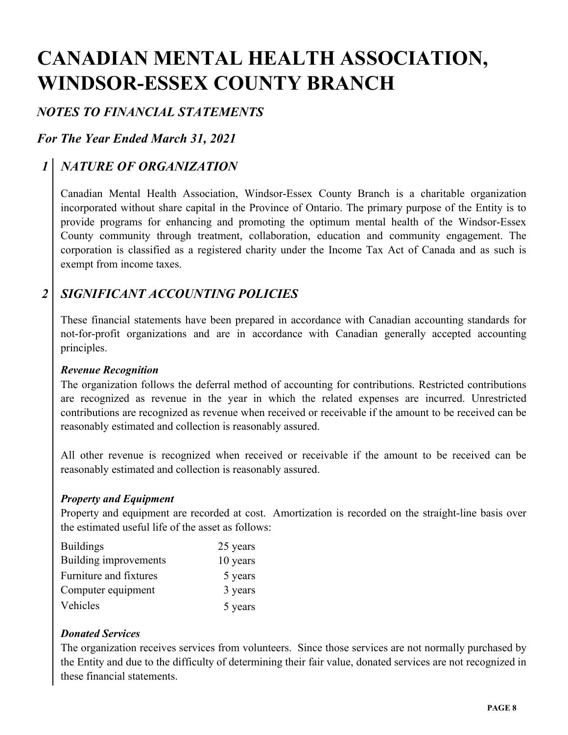## *NOTES TO FINANCIAL STATEMENTS*

## *For The Year Ended March 31, 2021*

## *1 NATURE OF ORGANIZATION*

Canadian Mental Health Association, Windsor-Essex County Branch is a charitable organization incorporated without share capital in the Province of Ontario. The primary purpose of the Entity is to provide programs for enhancing and promoting the optimum mental health of the Windsor-Essex County community through treatment, collaboration, education and community engagement. The corporation is classified as a registered charity under the Income Tax Act of Canada and as such is exempt from income taxes.

## *2 SIGNIFICANT ACCOUNTING POLICIES*

These financial statements have been prepared in accordance with Canadian accounting standards for not-for-profit organizations and are in accordance with Canadian generally accepted accounting principles.

### *Revenue Recognition*

The organization follows the deferral method of accounting for contributions. Restricted contributions are recognized as revenue in the year in which the related expenses are incurred. Unrestricted contributions are recognized as revenue when received or receivable if the amount to be received can be reasonably estimated and collection is reasonably assured.

All other revenue is recognized when received or receivable if the amount to be received can be reasonably estimated and collection is reasonably assured.

### *Property and Equipment*

Property and equipment are recorded at cost. Amortization is recorded on the straight-line basis over the estimated useful life of the asset as follows:

| <b>Buildings</b>       | 25 years |
|------------------------|----------|
| Building improvements  | 10 years |
| Furniture and fixtures | 5 years  |
| Computer equipment     | 3 years  |
| Vehicles               | 5 years  |

### *Donated Services*

The organization receives services from volunteers. Since those services are not normally purchased by the Entity and due to the difficulty of determining their fair value, donated services are not recognized in these financial statements.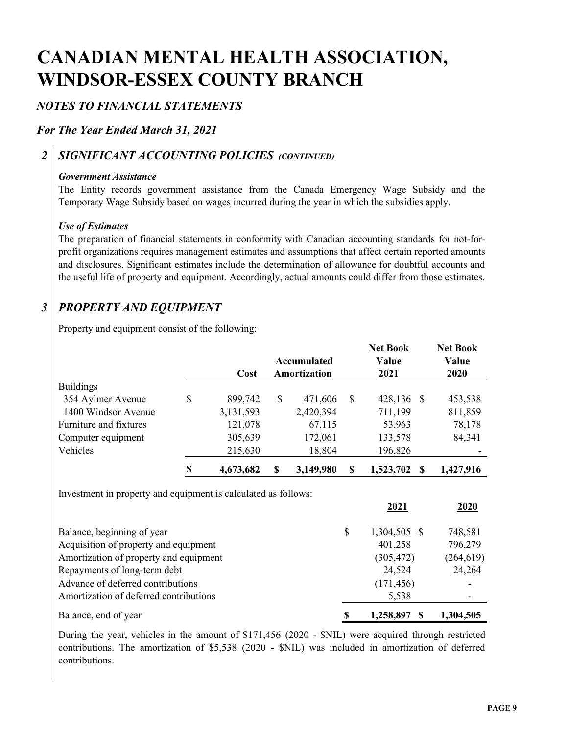## *NOTES TO FINANCIAL STATEMENTS*

### *For The Year Ended March 31, 2021*

### *2 SIGNIFICANT ACCOUNTING POLICIES (CONTINUED)*

### *Government Assistance*

The Entity records government assistance from the Canada Emergency Wage Subsidy and the Temporary Wage Subsidy based on wages incurred during the year in which the subsidies apply.

### *Use of Estimates*

The preparation of financial statements in conformity with Canadian accounting standards for not-forprofit organizations requires management estimates and assumptions that affect certain reported amounts and disclosures. Significant estimates include the determination of allowance for doubtful accounts and the useful life of property and equipment. Accordingly, actual amounts could differ from those estimates.

## *3 PROPERTY AND EQUIPMENT*

Property and equipment consist of the following:

|                        |    | Cost      |   | Accumulated<br>Amortization |   | <b>Net Book</b><br>Value<br>2021 |    | <b>Net Book</b><br>Value<br>2020 |
|------------------------|----|-----------|---|-----------------------------|---|----------------------------------|----|----------------------------------|
| <b>Buildings</b>       |    |           |   |                             |   |                                  |    |                                  |
| 354 Aylmer Avenue      | \$ | 899,742   | S | 471,606                     | S | 428,136                          | -S | 453,538                          |
| 1400 Windsor Avenue    |    | 3,131,593 |   | 2,420,394                   |   | 711,199                          |    | 811,859                          |
| Furniture and fixtures |    | 121,078   |   | 67,115                      |   | 53,963                           |    | 78,178                           |
| Computer equipment     |    | 305,639   |   | 172,061                     |   | 133,578                          |    | 84,341                           |
| Vehicles               |    | 215,630   |   | 18,804                      |   | 196,826                          |    |                                  |
|                        | S  | 4,673,682 | S | 3,149,980                   |   | 1,523,702                        |    | 1,427,916                        |

Investment in property and equipment is calculated as follows:

|                                        |    | 2021         | 2020       |
|----------------------------------------|----|--------------|------------|
| Balance, beginning of year             | \$ | 1,304,505 \$ | 748,581    |
| Acquisition of property and equipment  |    | 401,258      | 796,279    |
| Amortization of property and equipment |    | (305, 472)   | (264, 619) |
| Repayments of long-term debt           |    | 24,524       | 24,264     |
| Advance of deferred contributions      |    | (171, 456)   |            |
| Amortization of deferred contributions |    | 5,538        |            |
| Balance, end of year                   | S  | 1,258,897    | 1,304,505  |

During the year, vehicles in the amount of \$171,456 (2020 - \$NIL) were acquired through restricted contributions. The amortization of \$5,538 (2020 - \$NIL) was included in amortization of deferred contributions.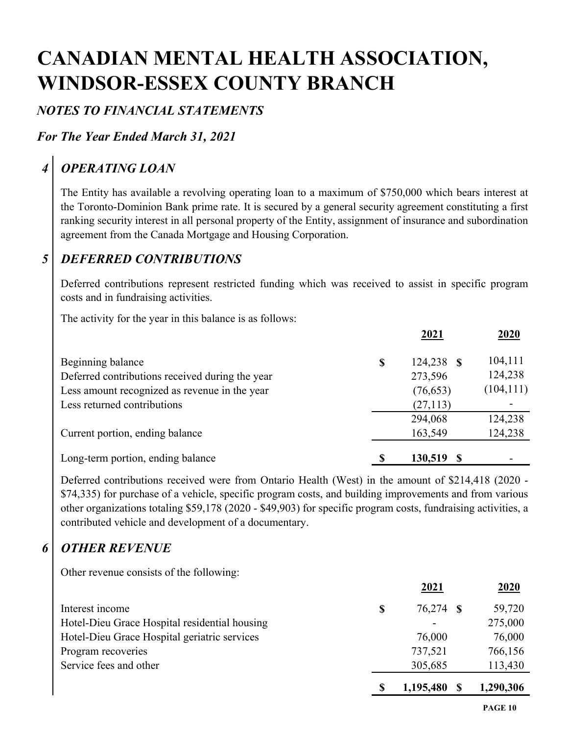## *NOTES TO FINANCIAL STATEMENTS*

## *For The Year Ended March 31, 2021*

## *4 OPERATING LOAN*

The Entity has available a revolving operating loan to a maximum of \$750,000 which bears interest at the Toronto-Dominion Bank prime rate. It is secured by a general security agreement constituting a first ranking security interest in all personal property of the Entity, assignment of insurance and subordination agreement from the Canada Mortgage and Housing Corporation.

## *5 DEFERRED CONTRIBUTIONS*

Deferred contributions represent restricted funding which was received to assist in specific program costs and in fundraising activities.

The activity for the year in this balance is as follows:

|                                                 |   | 2021       | 2020       |
|-------------------------------------------------|---|------------|------------|
| Beginning balance                               | S | 124,238 \$ | 104,111    |
| Deferred contributions received during the year |   | 273,596    | 124,238    |
| Less amount recognized as revenue in the year   |   | (76, 653)  | (104, 111) |
| Less returned contributions                     |   | (27, 113)  |            |
|                                                 |   | 294,068    | 124,238    |
| Current portion, ending balance                 |   | 163,549    | 124,238    |
| Long-term portion, ending balance               |   | 130,519    |            |

Deferred contributions received were from Ontario Health (West) in the amount of \$214,418 (2020 - \$74,335) for purchase of a vehicle, specific program costs, and building improvements and from various other organizations totaling \$59,178 (2020 - \$49,903) for specific program costs, fundraising activities, a contributed vehicle and development of a documentary.

## *6 OTHER REVENUE*

Other revenue consists of the following:

|                                               |               | 2021      | 2020      |
|-----------------------------------------------|---------------|-----------|-----------|
| Interest income                               | <sup>\$</sup> | 76,274 \$ | 59,720    |
| Hotel-Dieu Grace Hospital residential housing |               |           | 275,000   |
| Hotel-Dieu Grace Hospital geriatric services  |               | 76,000    | 76,000    |
| Program recoveries                            |               | 737,521   | 766,156   |
| Service fees and other                        |               | 305,685   | 113,430   |
|                                               |               | 1,195,480 | 1,290,306 |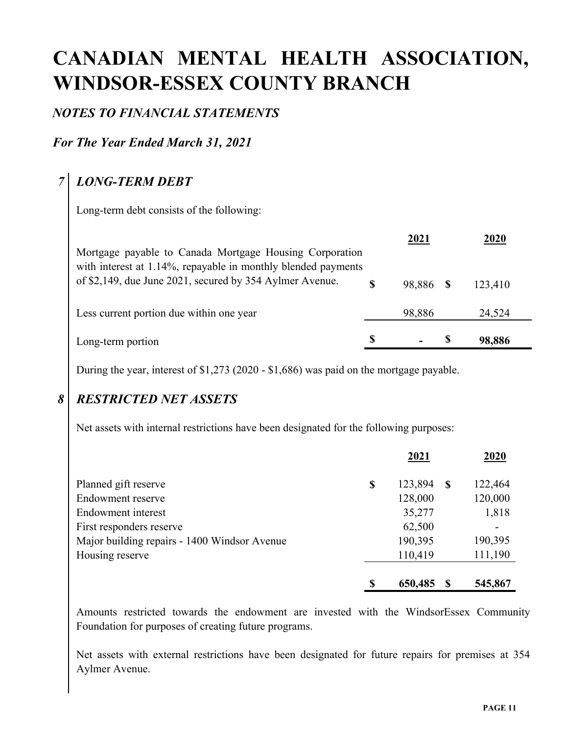## *NOTES TO FINANCIAL STATEMENTS*

## *For The Year Ended March 31, 2021*

## *7 LONG-TERM DEBT*

Long-term debt consists of the following:

|                                                                                                                          |          | 2021      | <b>2020</b> |  |
|--------------------------------------------------------------------------------------------------------------------------|----------|-----------|-------------|--|
| Mortgage payable to Canada Mortgage Housing Corporation<br>with interest at 1.14%, repayable in monthly blended payments |          |           |             |  |
| of \$2,149, due June 2021, secured by 354 Aylmer Avenue.                                                                 |          | 98.886 \$ | 123,410     |  |
| Less current portion due within one year                                                                                 |          | 98,886    | 24,524      |  |
| Long-term portion                                                                                                        | <b>S</b> |           | 98,886      |  |

During the year, interest of \$1,273 (2020 - \$1,686) was paid on the mortgage payable.

## *8 RESTRICTED NET ASSETS*

Net assets with internal restrictions have been designated for the following purposes:

|                                              | 2021               | 2020    |
|----------------------------------------------|--------------------|---------|
| Planned gift reserve                         | \$<br>123,894<br>S | 122,464 |
| Endowment reserve                            | 128,000            | 120,000 |
| Endowment interest                           | 35,277             | 1,818   |
| First responders reserve                     | 62,500             | -       |
| Major building repairs - 1400 Windsor Avenue | 190,395            | 190,395 |
| Housing reserve                              | 110,419            | 111,190 |
|                                              | \$<br>650,485      | 545,867 |

Amounts restricted towards the endowment are invested with the WindsorEssex Community Foundation for purposes of creating future programs.

Net assets with external restrictions have been designated for future repairs for premises at 354 Aylmer Avenue.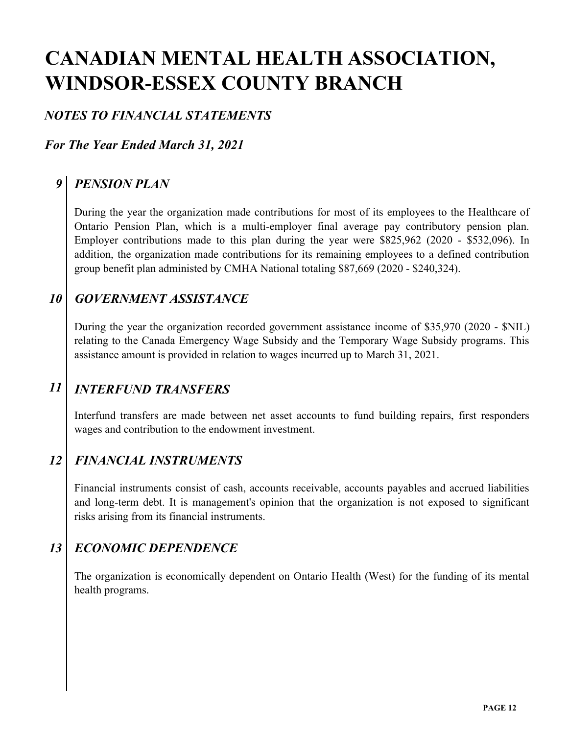## *NOTES TO FINANCIAL STATEMENTS*

*For The Year Ended March 31, 2021*

## *9 PENSION PLAN*

During the year the organization made contributions for most of its employees to the Healthcare of Ontario Pension Plan, which is a multi-employer final average pay contributory pension plan. Employer contributions made to this plan during the year were \$825,962 (2020 - \$532,096). In addition, the organization made contributions for its remaining employees to a defined contribution group benefit plan administed by CMHA National totaling \$87,669 (2020 - \$240,324).

## *10 GOVERNMENT ASSISTANCE*

During the year the organization recorded government assistance income of \$35,970 (2020 - \$NIL) relating to the Canada Emergency Wage Subsidy and the Temporary Wage Subsidy programs. This assistance amount is provided in relation to wages incurred up to March 31, 2021.

## *11 INTERFUND TRANSFERS*

Interfund transfers are made between net asset accounts to fund building repairs, first responders wages and contribution to the endowment investment.

## *12 FINANCIAL INSTRUMENTS*

Financial instruments consist of cash, accounts receivable, accounts payables and accrued liabilities and long-term debt. It is management's opinion that the organization is not exposed to significant risks arising from its financial instruments.

## *13 ECONOMIC DEPENDENCE*

The organization is economically dependent on Ontario Health (West) for the funding of its mental health programs.